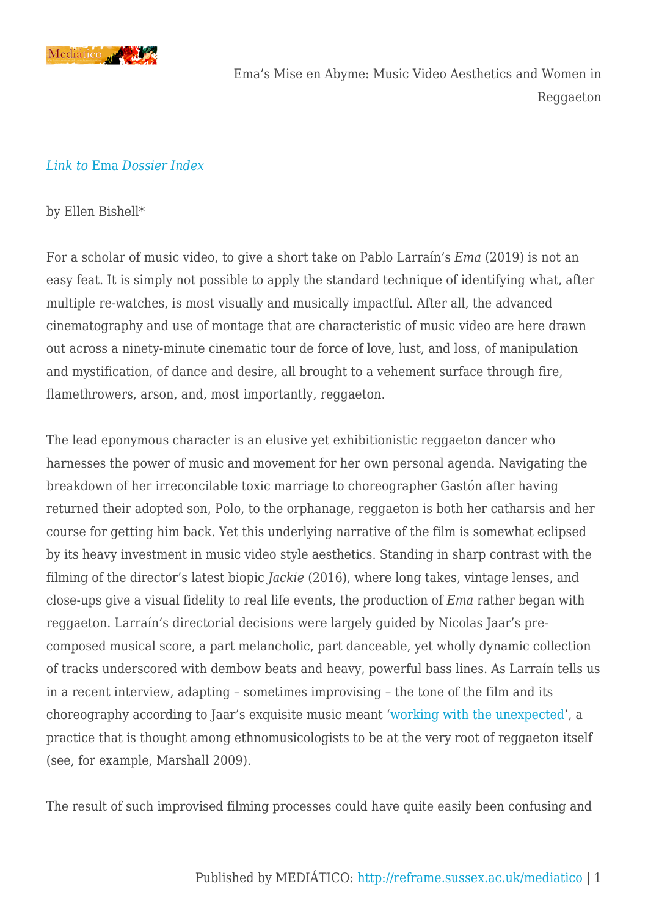

#### *[Link to](https://reframe.sussex.ac.uk/mediatico/2020/10/26/introduction-to-the-special-dossier-on-ema-pablo-larrain-2019/)* [Ema](https://reframe.sussex.ac.uk/mediatico/2020/10/26/introduction-to-the-special-dossier-on-ema-pablo-larrain-2019/) *[Dossier Index](https://reframe.sussex.ac.uk/mediatico/2020/10/26/introduction-to-the-special-dossier-on-ema-pablo-larrain-2019/)*

#### by Ellen Bishell\*

For a scholar of music video, to give a short take on Pablo Larraín's *Ema* (2019) is not an easy feat. It is simply not possible to apply the standard technique of identifying what, after multiple re-watches, is most visually and musically impactful. After all, the advanced cinematography and use of montage that are characteristic of music video are here drawn out across a ninety-minute cinematic tour de force of love, lust, and loss, of manipulation and mystification, of dance and desire, all brought to a vehement surface through fire, flamethrowers, arson, and, most importantly, reggaeton.

The lead eponymous character is an elusive yet exhibitionistic reggaeton dancer who harnesses the power of music and movement for her own personal agenda. Navigating the breakdown of her irreconcilable toxic marriage to choreographer Gastón after having returned their adopted son, Polo, to the orphanage, reggaeton is both her catharsis and her course for getting him back. Yet this underlying narrative of the film is somewhat eclipsed by its heavy investment in music video style aesthetics. Standing in sharp contrast with the filming of the director's latest biopic *Jackie* (2016), where long takes, vintage lenses, and close-ups give a visual fidelity to real life events, the production of *Ema* rather began with reggaeton. Larraín's directorial decisions were largely guided by Nicolas Jaar's precomposed musical score, a part melancholic, part danceable, yet wholly dynamic collection of tracks underscored with dembow beats and heavy, powerful bass lines. As Larraín tells us in a recent interview, adapting – sometimes improvising – the tone of the film and its choreography according to Jaar's exquisite music meant '[working with the unexpected'](https://www.dazeddigital.com/film-tv/article/49071/1/pablo-larrain-mariana-di-girolamo-ema-interview), a practice that is thought among ethnomusicologists to be at the very root of reggaeton itself (see, for example, Marshall 2009).

The result of such improvised filming processes could have quite easily been confusing and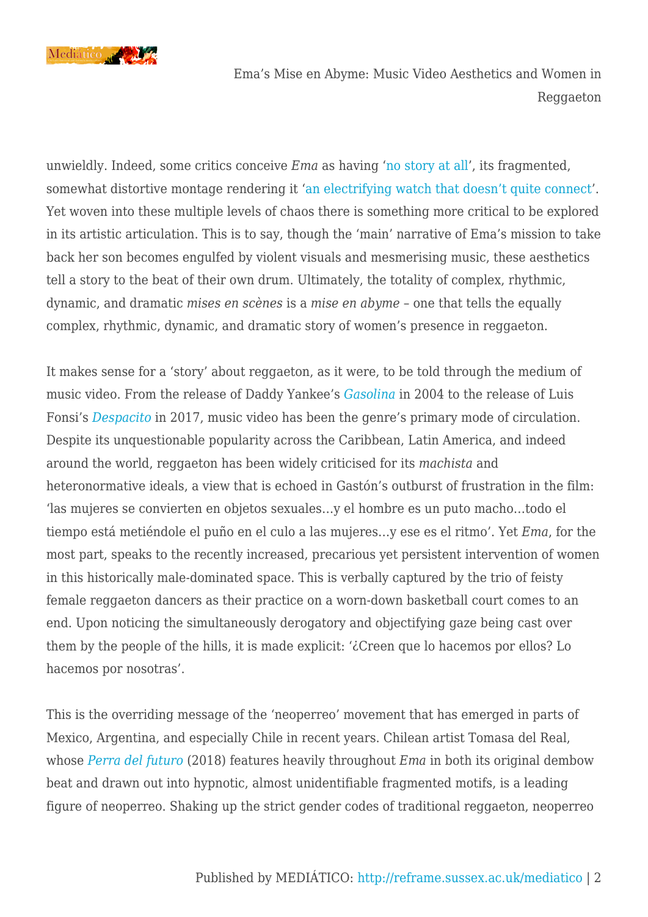

unwieldly. Indeed, some critics conceive *Ema* as having '[no story at all](https://variety.com/2019/film/reviews/ema-review-pablo-larrain-1203319869/)', its fragmented, somewhat distortive montage rendering it '[an electrifying watch that doesn't quite connect'](https://counteract.co/film-and-tv/film-review-ema/). Yet woven into these multiple levels of chaos there is something more critical to be explored in its artistic articulation. This is to say, though the 'main' narrative of Ema's mission to take back her son becomes engulfed by violent visuals and mesmerising music, these aesthetics tell a story to the beat of their own drum. Ultimately, the totality of complex, rhythmic, dynamic, and dramatic *mises en scènes* is a *mise en abyme* – one that tells the equally complex, rhythmic, dynamic, and dramatic story of women's presence in reggaeton.

It makes sense for a 'story' about reggaeton, as it were, to be told through the medium of music video. From the release of Daddy Yankee's *[Gasolina](https://www.youtube.com/watch?v=QhuMh97C0yc)* in 2004 to the release of Luis Fonsi's *[Despacito](https://www.youtube.com/watch?v=kJQP7kiw5Fk)* in 2017, music video has been the genre's primary mode of circulation. Despite its unquestionable popularity across the Caribbean, Latin America, and indeed around the world, reggaeton has been widely criticised for its *machista* and heteronormative ideals, a view that is echoed in Gastón's outburst of frustration in the film: 'las mujeres se convierten en objetos sexuales…y el hombre es un puto macho…todo el tiempo está metiéndole el puño en el culo a las mujeres…y ese es el ritmo'. Yet *Ema*, for the most part, speaks to the recently increased, precarious yet persistent intervention of women in this historically male-dominated space. This is verbally captured by the trio of feisty female reggaeton dancers as their practice on a worn-down basketball court comes to an end. Upon noticing the simultaneously derogatory and objectifying gaze being cast over them by the people of the hills, it is made explicit: '¿Creen que lo hacemos por ellos? Lo hacemos por nosotras'.

This is the overriding message of the 'neoperreo' movement that has emerged in parts of Mexico, Argentina, and especially Chile in recent years. Chilean artist Tomasa del Real, whose *[Perra del futuro](https://www.youtube.com/watch?v=zgb5uyqwSCI)* (2018) features heavily throughout *Ema* in both its original dembow beat and drawn out into hypnotic, almost unidentifiable fragmented motifs, is a leading figure of neoperreo. Shaking up the strict gender codes of traditional reggaeton, neoperreo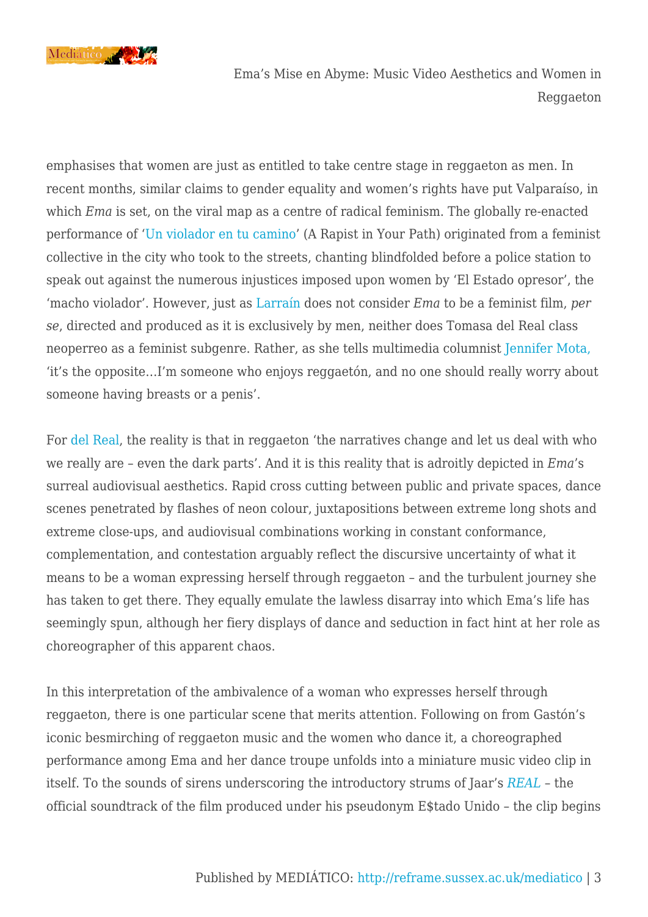

emphasises that women are just as entitled to take centre stage in reggaeton as men. In recent months, similar claims to gender equality and women's rights have put Valparaíso, in which *Ema* is set, on the viral map as a centre of radical feminism. The globally re-enacted performance of ['Un violador en tu camino](https://www.youtube.com/watch?v=q3nymKFl0Jc)' (A Rapist in Your Path) originated from a feminist collective in the city who took to the streets, chanting blindfolded before a police station to speak out against the numerous injustices imposed upon women by 'El Estado opresor', the 'macho violador'. However, just as [Larraín](https://mubi.com/notebook/posts/everything-is-political-pablo-larrain-discusses-ema) does not consider *Ema* to be a feminist film, *per se*, directed and produced as it is exclusively by men, neither does Tomasa del Real class neoperreo as a feminist subgenre. Rather, as she tells multimedia columnist [Jennifer Mota,](https://peopleenespanol.com/chica/tomasa-del-real-explains-neo-perreo-new-album/) 'it's the opposite…I'm someone who enjoys reggaetón, and no one should really worry about someone having breasts or a penis'.

For [del Real,](https://www.thefader.com/2018/08/23/neoperreo-interview-tomasa-del-real-ms-nina-rip-txny-chaboi-el-licenciado) the reality is that in reggaeton 'the narratives change and let us deal with who we really are – even the dark parts'. And it is this reality that is adroitly depicted in *Ema*'s surreal audiovisual aesthetics. Rapid cross cutting between public and private spaces, dance scenes penetrated by flashes of neon colour, juxtapositions between extreme long shots and extreme close-ups, and audiovisual combinations working in constant conformance, complementation, and contestation arguably reflect the discursive uncertainty of what it means to be a woman expressing herself through reggaeton – and the turbulent journey she has taken to get there. They equally emulate the lawless disarray into which Ema's life has seemingly spun, although her fiery displays of dance and seduction in fact hint at her role as choreographer of this apparent chaos.

In this interpretation of the ambivalence of a woman who expresses herself through reggaeton, there is one particular scene that merits attention. Following on from Gastón's iconic besmirching of reggaeton music and the women who dance it, a choreographed performance among Ema and her dance troupe unfolds into a miniature music video clip in itself. To the sounds of sirens underscoring the introductory strums of Jaar's *[REAL](https://www.youtube.com/watch?v=ZZEd2070-jo)* – the official soundtrack of the film produced under his pseudonym E\$tado Unido – the clip begins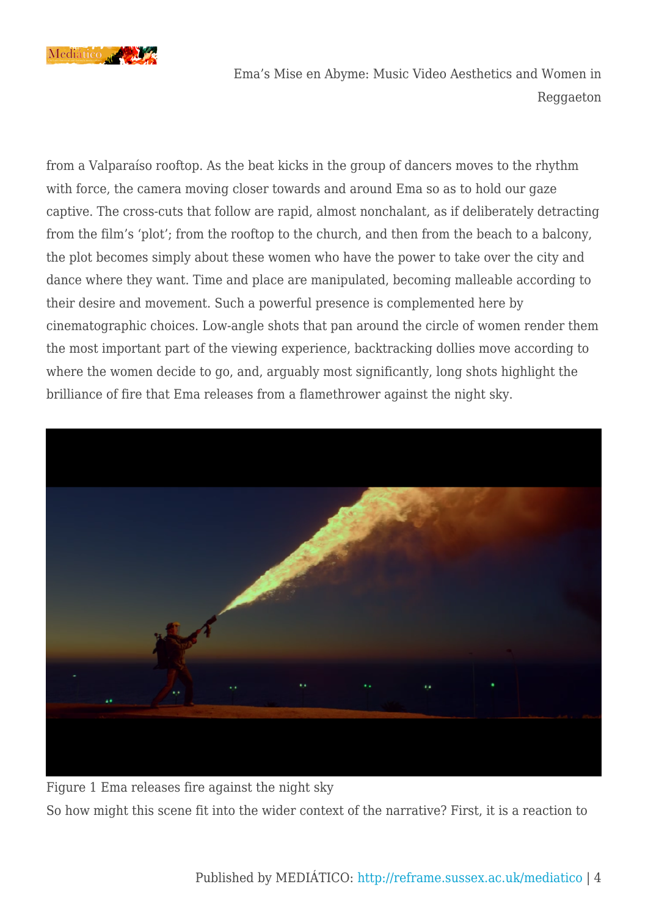

from a Valparaíso rooftop. As the beat kicks in the group of dancers moves to the rhythm with force, the camera moving closer towards and around Ema so as to hold our gaze captive. The cross-cuts that follow are rapid, almost nonchalant, as if deliberately detracting from the film's 'plot'; from the rooftop to the church, and then from the beach to a balcony, the plot becomes simply about these women who have the power to take over the city and dance where they want. Time and place are manipulated, becoming malleable according to their desire and movement. Such a powerful presence is complemented here by cinematographic choices. Low-angle shots that pan around the circle of women render them the most important part of the viewing experience, backtracking dollies move according to where the women decide to go, and, arguably most significantly, long shots highlight the brilliance of fire that Ema releases from a flamethrower against the night sky.



Figure 1 Ema releases fire against the night sky So how might this scene fit into the wider context of the narrative? First, it is a reaction to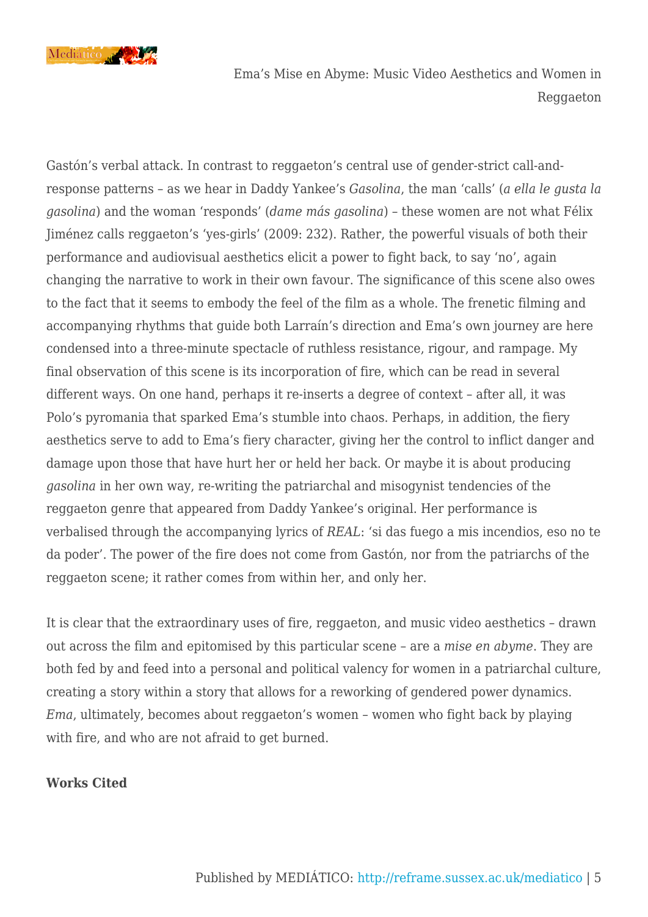

Gastón's verbal attack. In contrast to reggaeton's central use of gender-strict call-andresponse patterns – as we hear in Daddy Yankee's *Gasolina*, the man 'calls' (*a ella le gusta la gasolina*) and the woman 'responds' (*dame más gasolina*) – these women are not what Félix Jiménez calls reggaeton's 'yes-girls' (2009: 232). Rather, the powerful visuals of both their performance and audiovisual aesthetics elicit a power to fight back, to say 'no', again changing the narrative to work in their own favour. The significance of this scene also owes to the fact that it seems to embody the feel of the film as a whole. The frenetic filming and accompanying rhythms that guide both Larraín's direction and Ema's own journey are here condensed into a three-minute spectacle of ruthless resistance, rigour, and rampage. My final observation of this scene is its incorporation of fire, which can be read in several different ways. On one hand, perhaps it re-inserts a degree of context – after all, it was Polo's pyromania that sparked Ema's stumble into chaos. Perhaps, in addition, the fiery aesthetics serve to add to Ema's fiery character, giving her the control to inflict danger and damage upon those that have hurt her or held her back. Or maybe it is about producing *gasolina* in her own way, re-writing the patriarchal and misogynist tendencies of the reggaeton genre that appeared from Daddy Yankee's original. Her performance is verbalised through the accompanying lyrics of *REAL*: 'si das fuego a mis incendios, eso no te da poder'. The power of the fire does not come from Gastón, nor from the patriarchs of the reggaeton scene; it rather comes from within her, and only her.

It is clear that the extraordinary uses of fire, reggaeton, and music video aesthetics – drawn out across the film and epitomised by this particular scene – are a *mise en abyme*. They are both fed by and feed into a personal and political valency for women in a patriarchal culture, creating a story within a story that allows for a reworking of gendered power dynamics. *Ema*, ultimately, becomes about reggaeton's women – women who fight back by playing with fire, and who are not afraid to get burned.

### **Works Cited**